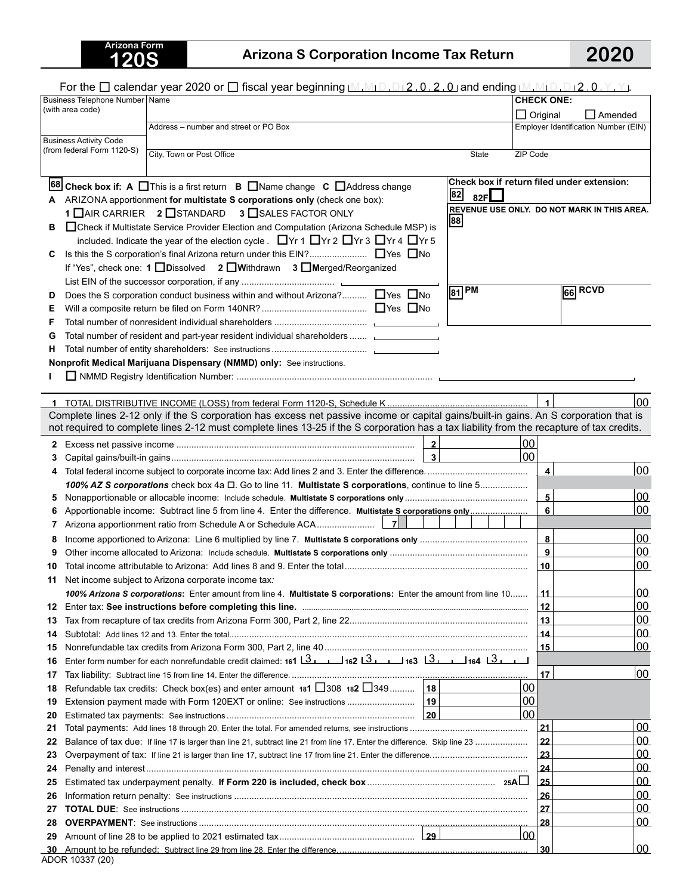## **120S Arizona S Corporation Income Tax Return 2020**

|          | For the $\square$ calendar year 2020 or $\square$ fiscal year beginning $\square_{1}\square_{1}\square_{1}\square_{2}$ , 0, 2, 0, 9 and ending $\square_{1}\square_{1}\square_{1}\square_{1}\square_{1}\square_{1}$ , $\square_{1}\square_{1}\square_{1}\square_{1}$ |                   |                         |                                             |  |
|----------|----------------------------------------------------------------------------------------------------------------------------------------------------------------------------------------------------------------------------------------------------------------------|-------------------|-------------------------|---------------------------------------------|--|
|          | Business Telephone Number Name                                                                                                                                                                                                                                       | <b>CHECK ONE:</b> |                         |                                             |  |
|          | (with area code)                                                                                                                                                                                                                                                     |                   |                         | $\Box$ Original<br>$\Box$ Amended           |  |
|          | Address - number and street or PO Box                                                                                                                                                                                                                                |                   |                         | Employer Identification Number (EIN)        |  |
|          | <b>Business Activity Code</b><br>(from federal Form 1120-S)                                                                                                                                                                                                          |                   |                         |                                             |  |
|          | City, Town or Post Office<br>State                                                                                                                                                                                                                                   | ZIP Code          |                         |                                             |  |
|          |                                                                                                                                                                                                                                                                      |                   |                         |                                             |  |
|          | 68 Check box if: A □ This is a first return B □ Name change C □ Address change                                                                                                                                                                                       |                   |                         | Check box if return filed under extension:  |  |
| A        | 82<br>82F $\Box$<br>ARIZONA apportionment for multistate S corporations only (check one box):                                                                                                                                                                        |                   |                         |                                             |  |
|          | 1 IAIR CARRIER 2 ISTANDARD 3 ISALES FACTOR ONLY                                                                                                                                                                                                                      |                   |                         | REVENUE USE ONLY. DO NOT MARK IN THIS AREA. |  |
| в        | 88<br>□ Check if Multistate Service Provider Election and Computation (Arizona Schedule MSP) is                                                                                                                                                                      |                   |                         |                                             |  |
|          | included. Indicate the year of the election cycle. ■ Yr 1 ■ Yr 2 ■ Yr 3 ■ Yr 4 ■ Yr 5                                                                                                                                                                                |                   |                         |                                             |  |
| С        |                                                                                                                                                                                                                                                                      |                   |                         |                                             |  |
|          | If "Yes", check one: 1 Dissolved 2 DWithdrawn 3 DMerged/Reorganized                                                                                                                                                                                                  |                   |                         |                                             |  |
|          |                                                                                                                                                                                                                                                                      |                   |                         | $66$ RCVD                                   |  |
| D        | $\sqrt{81}$ PM<br>Does the S corporation conduct business within and without Arizona? □ Yes □ No                                                                                                                                                                     |                   |                         |                                             |  |
| Е        |                                                                                                                                                                                                                                                                      |                   |                         |                                             |  |
| F        |                                                                                                                                                                                                                                                                      |                   |                         |                                             |  |
| G        | Total number of resident and part-year resident individual shareholders  [1986] Total number of resident and part-year resident individual shareholders                                                                                                              |                   |                         |                                             |  |
| н        |                                                                                                                                                                                                                                                                      |                   |                         |                                             |  |
|          | Nonprofit Medical Marijuana Dispensary (NMMD) only: See instructions.                                                                                                                                                                                                |                   |                         |                                             |  |
|          |                                                                                                                                                                                                                                                                      |                   |                         |                                             |  |
|          |                                                                                                                                                                                                                                                                      |                   | $\mathbf{1}$            | 00                                          |  |
|          | Complete lines 2-12 only if the S corporation has excess net passive income or capital gains/built-in gains. An S corporation that is                                                                                                                                |                   |                         |                                             |  |
|          | not required to complete lines 2-12 must complete lines 13-25 if the S corporation has a tax liability from the recapture of tax credits.                                                                                                                            |                   |                         |                                             |  |
| 2        | $\overline{2}$                                                                                                                                                                                                                                                       | 00                |                         |                                             |  |
| З        | $\vert$ 3                                                                                                                                                                                                                                                            | 00                |                         |                                             |  |
| 4        |                                                                                                                                                                                                                                                                      |                   | $\overline{\mathbf{4}}$ | 00                                          |  |
|          | 100% AZ S corporations check box 4a $\Box$ . Go to line 11. Multistate S corporations, continue to line 5                                                                                                                                                            |                   |                         |                                             |  |
| 5        |                                                                                                                                                                                                                                                                      |                   | 5                       | 00                                          |  |
| 6        |                                                                                                                                                                                                                                                                      |                   | 6                       | 00                                          |  |
| 7        |                                                                                                                                                                                                                                                                      |                   |                         |                                             |  |
| 8        |                                                                                                                                                                                                                                                                      |                   | 8                       | $00\,$                                      |  |
| 9        |                                                                                                                                                                                                                                                                      |                   | 9                       | 00                                          |  |
| 10       |                                                                                                                                                                                                                                                                      |                   | 10                      | 00                                          |  |
| 11       | Net income subject to Arizona corporate income tax:                                                                                                                                                                                                                  |                   |                         |                                             |  |
|          | 100% Arizona S corporations: Enter amount from line 4. Multistate S corporations: Enter the amount from line 10                                                                                                                                                      |                   | _11_                    | 00                                          |  |
| 12       |                                                                                                                                                                                                                                                                      |                   | 12                      | 00                                          |  |
| 13       |                                                                                                                                                                                                                                                                      |                   | 13                      | 00                                          |  |
| 14       |                                                                                                                                                                                                                                                                      |                   | 14                      | 00                                          |  |
| 15       |                                                                                                                                                                                                                                                                      |                   | 15                      | <u>loo</u>                                  |  |
| 16       | Enter form number for each nonrefundable credit claimed: $161 \overline{3}$<br>162 $\overline{3}$<br>163 $\overline{3}$<br>164 $\overline{3}$                                                                                                                        |                   |                         |                                             |  |
| 17       |                                                                                                                                                                                                                                                                      |                   | 17                      | 00                                          |  |
| 18       | Refundable tax credits: Check box(es) and enter amount 181 $\Box$ 308 182 $\Box$ 349 18                                                                                                                                                                              | 00                |                         |                                             |  |
| 19       |                                                                                                                                                                                                                                                                      | 00<br>00          |                         |                                             |  |
| 20<br>21 |                                                                                                                                                                                                                                                                      |                   | 21                      | 00                                          |  |
| 22       | Balance of tax due: If line 17 is larger than line 21, subtract line 21 from line 17. Enter the difference. Skip line 23                                                                                                                                             |                   | $\overline{22}$         | 00                                          |  |
| 23       |                                                                                                                                                                                                                                                                      |                   | 23                      | <u>00</u>                                   |  |
| 24       |                                                                                                                                                                                                                                                                      |                   | 24                      | <u>00</u>                                   |  |
| 25       |                                                                                                                                                                                                                                                                      |                   | 25                      | <u>00</u>                                   |  |
| 26       |                                                                                                                                                                                                                                                                      |                   | 26                      | <u>00</u>                                   |  |
| 27       |                                                                                                                                                                                                                                                                      |                   | 27                      | <u>00</u>                                   |  |
| 28       |                                                                                                                                                                                                                                                                      |                   | 28                      | <u>00</u>                                   |  |
| 29       |                                                                                                                                                                                                                                                                      | <u>00</u>         |                         |                                             |  |
|          |                                                                                                                                                                                                                                                                      |                   | 30                      | 00                                          |  |
|          | ADOR 10337 (20)                                                                                                                                                                                                                                                      |                   |                         |                                             |  |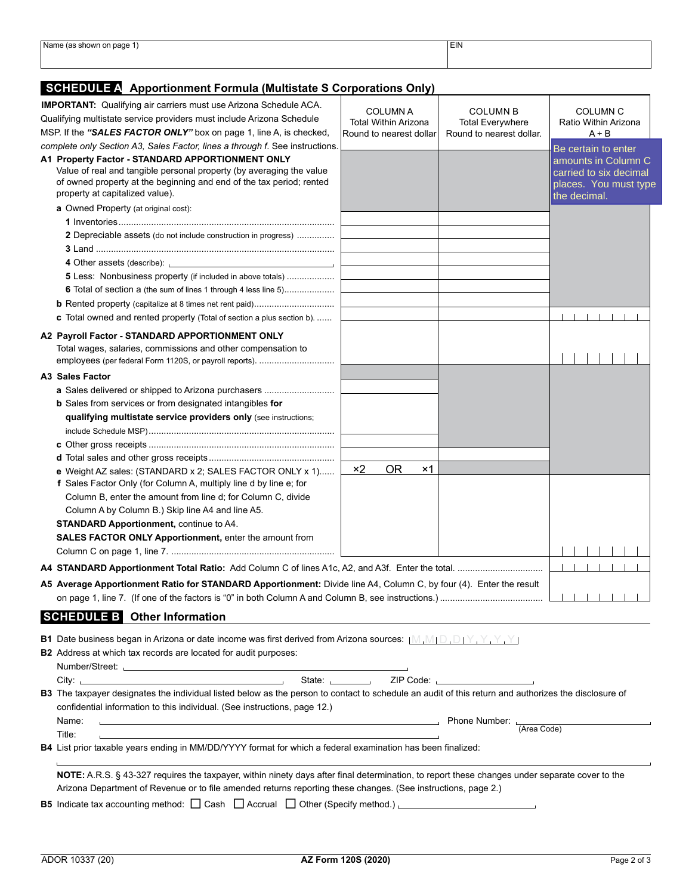| 'Name<br>: shown on page ډ          | EIN |  |
|-------------------------------------|-----|--|
| the contract of the contract of the |     |  |
|                                     |     |  |
|                                     |     |  |
|                                     |     |  |

## **SCHEDULE A Apportionment Formula (Multistate S Corporations Only)**

| <b>IMPORTANT:</b> Qualifying air carriers must use Arizona Schedule ACA.<br>Qualifying multistate service providers must include Arizona Schedule                                                                                                               | <b>COLUMN A</b><br><b>Total Within Arizona</b> | <b>COLUMN B</b><br><b>Total Everywhere</b> | <b>COLUMN C</b><br>Ratio Within Arizona                                                |
|-----------------------------------------------------------------------------------------------------------------------------------------------------------------------------------------------------------------------------------------------------------------|------------------------------------------------|--------------------------------------------|----------------------------------------------------------------------------------------|
| MSP. If the "SALES FACTOR ONLY" box on page 1, line A, is checked,                                                                                                                                                                                              | Round to nearest dollar                        | Round to nearest dollar.                   | $A \div B$                                                                             |
| complete only Section A3, Sales Factor, lines a through f. See instructions.                                                                                                                                                                                    |                                                |                                            | Be certain to enter                                                                    |
| A1 Property Factor - STANDARD APPORTIONMENT ONLY<br>Value of real and tangible personal property (by averaging the value<br>of owned property at the beginning and end of the tax period; rented<br>property at capitalized value).                             |                                                |                                            | amounts in Column C<br>carried to six decimal<br>places. You must type<br>the decimal. |
| a Owned Property (at original cost):                                                                                                                                                                                                                            |                                                |                                            |                                                                                        |
|                                                                                                                                                                                                                                                                 |                                                |                                            |                                                                                        |
| 2 Depreciable assets (do not include construction in progress)                                                                                                                                                                                                  |                                                |                                            |                                                                                        |
|                                                                                                                                                                                                                                                                 |                                                |                                            |                                                                                        |
| 4 Other assets (describe): <u>contract and a set of the set of the set of the set of the set of the set of the set of the set of the set of the set of the set of the set of the set of the set of the set of the set of the set</u>                            |                                                |                                            |                                                                                        |
| <b>5</b> Less: Nonbusiness property (if included in above totals)                                                                                                                                                                                               |                                                |                                            |                                                                                        |
| <b>6</b> Total of section a (the sum of lines 1 through 4 less line 5)                                                                                                                                                                                          |                                                |                                            |                                                                                        |
|                                                                                                                                                                                                                                                                 |                                                |                                            |                                                                                        |
| <b>c</b> Total owned and rented property (Total of section a plus section b).                                                                                                                                                                                   |                                                |                                            |                                                                                        |
| A2 Payroll Factor - STANDARD APPORTIONMENT ONLY<br>Total wages, salaries, commissions and other compensation to<br>employees (per federal Form 1120S, or payroll reports).                                                                                      |                                                |                                            |                                                                                        |
| A3 Sales Factor                                                                                                                                                                                                                                                 |                                                |                                            |                                                                                        |
| a Sales delivered or shipped to Arizona purchasers                                                                                                                                                                                                              |                                                |                                            |                                                                                        |
| <b>b</b> Sales from services or from designated intangibles for                                                                                                                                                                                                 |                                                |                                            |                                                                                        |
| qualifying multistate service providers only (see instructions;                                                                                                                                                                                                 |                                                |                                            |                                                                                        |
|                                                                                                                                                                                                                                                                 |                                                |                                            |                                                                                        |
|                                                                                                                                                                                                                                                                 |                                                |                                            |                                                                                        |
| e Weight AZ sales: (STANDARD x 2; SALES FACTOR ONLY x 1)<br>f Sales Factor Only (for Column A, multiply line d by line e; for                                                                                                                                   | <b>OR</b><br>$\times 2$<br>×1                  |                                            |                                                                                        |
| Column B, enter the amount from line d; for Column C, divide                                                                                                                                                                                                    |                                                |                                            |                                                                                        |
| Column A by Column B.) Skip line A4 and line A5.                                                                                                                                                                                                                |                                                |                                            |                                                                                        |
| <b>STANDARD Apportionment, continue to A4.</b>                                                                                                                                                                                                                  |                                                |                                            |                                                                                        |
| <b>SALES FACTOR ONLY Apportionment, enter the amount from</b>                                                                                                                                                                                                   |                                                |                                            |                                                                                        |
|                                                                                                                                                                                                                                                                 |                                                |                                            |                                                                                        |
| A5 Average Apportionment Ratio for STANDARD Apportionment: Divide line A4, Column C, by four (4). Enter the result                                                                                                                                              |                                                |                                            |                                                                                        |
|                                                                                                                                                                                                                                                                 |                                                |                                            |                                                                                        |
| <b>SCHEDULE B</b> Other Information                                                                                                                                                                                                                             |                                                |                                            |                                                                                        |
| <b>B1</b> Date business began in Arizona or date income was first derived from Arizona sources: $[M, M] \cup [D, D]$<br><b>B2</b> Address at which tax records are located for audit purposes:                                                                  |                                                |                                            |                                                                                        |
| Number/Street: University of the University of the University of the University of the University of the University of the University of the University of the University of the University of the University of the Universit                                  |                                                |                                            |                                                                                        |
|                                                                                                                                                                                                                                                                 |                                                |                                            |                                                                                        |
| B3 The taxpayer designates the individual listed below as the person to contact to schedule an audit of this return and authorizes the disclosure of<br>confidential information to this individual. (See instructions, page 12.)                               |                                                |                                            |                                                                                        |
| Name:<br>the contract of the contract of the contract of the contract of the contract of the contract of the contract of                                                                                                                                        |                                                | Phone Number: L<br>(Area Code)             |                                                                                        |
| Title:<br>B4 List prior taxable years ending in MM/DD/YYYY format for which a federal examination has been finalized:                                                                                                                                           |                                                |                                            |                                                                                        |
|                                                                                                                                                                                                                                                                 |                                                |                                            |                                                                                        |
| NOTE: A.R.S. § 43-327 requires the taxpayer, within ninety days after final determination, to report these changes under separate cover to the<br>Arizona Department of Revenue or to file amended returns reporting these changes. (See instructions, page 2.) |                                                |                                            |                                                                                        |
| B5 Indicate tax accounting method: $\Box$ Cash $\Box$ Accrual $\Box$ Other (Specify method.)                                                                                                                                                                    |                                                |                                            |                                                                                        |